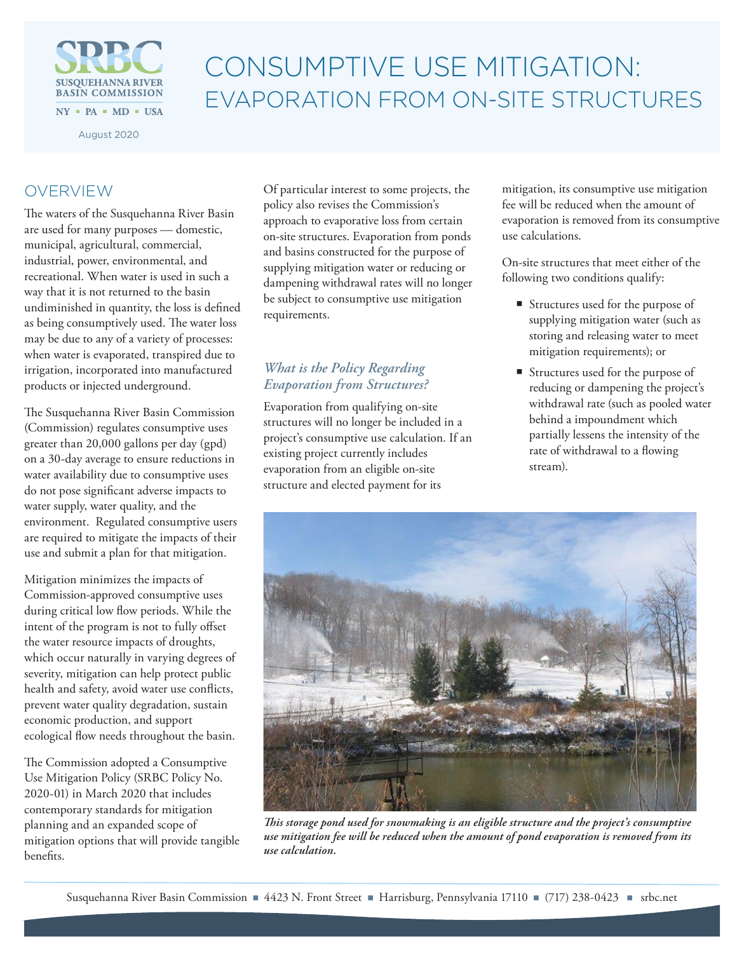

# CONSUMPTIVE USE MITIGATION: EVAPORATION FROM ON-SITE STRUCTURES

August 2020

# OVERVIEW

The waters of the Susquehanna River Basin are used for many purposes — domestic, municipal, agricultural, commercial, industrial, power, environmental, and recreational. When water is used in such a way that it is not returned to the basin undiminished in quantity, the loss is defined as being consumptively used. The water loss may be due to any of a variety of processes: when water is evaporated, transpired due to irrigation, incorporated into manufactured products or injected underground.

The Susquehanna River Basin Commission (Commission) regulates consumptive uses greater than 20,000 gallons per day (gpd) on a 30-day average to ensure reductions in water availability due to consumptive uses do not pose significant adverse impacts to water supply, water quality, and the environment. Regulated consumptive users are required to mitigate the impacts of their use and submit a plan for that mitigation.

Mitigation minimizes the impacts of Commission-approved consumptive uses during critical low flow periods. While the intent of the program is not to fully offset the water resource impacts of droughts, which occur naturally in varying degrees of severity, mitigation can help protect public health and safety, avoid water use conflicts, prevent water quality degradation, sustain economic production, and support ecological flow needs throughout the basin.

The Commission adopted a Consumptive Use Mitigation Policy (SRBC Policy No. 2020-01) in March 2020 that includes contemporary standards for mitigation planning and an expanded scope of mitigation options that will provide tangible benefits.

Of particular interest to some projects, the policy also revises the Commission's approach to evaporative loss from certain on-site structures. Evaporation from ponds and basins constructed for the purpose of supplying mitigation water or reducing or dampening withdrawal rates will no longer be subject to consumptive use mitigation requirements.

## *What is the Policy Regarding Evaporation from Structures?*

Evaporation from qualifying on-site structures will no longer be included in a project's consumptive use calculation. If an existing project currently includes evaporation from an eligible on-site structure and elected payment for its

mitigation, its consumptive use mitigation fee will be reduced when the amount of evaporation is removed from its consumptive use calculations.

On-site structures that meet either of the following two conditions qualify:

- Structures used for the purpose of supplying mitigation water (such as storing and releasing water to meet mitigation requirements); or
- Structures used for the purpose of reducing or dampening the project's withdrawal rate (such as pooled water behind a impoundment which partially lessens the intensity of the rate of withdrawal to a flowing stream).



*This storage pond used for snowmaking is an eligible structure and the project's consumptive use mitigation fee will be reduced when the amount of pond evaporation is removed from its use calculation.*